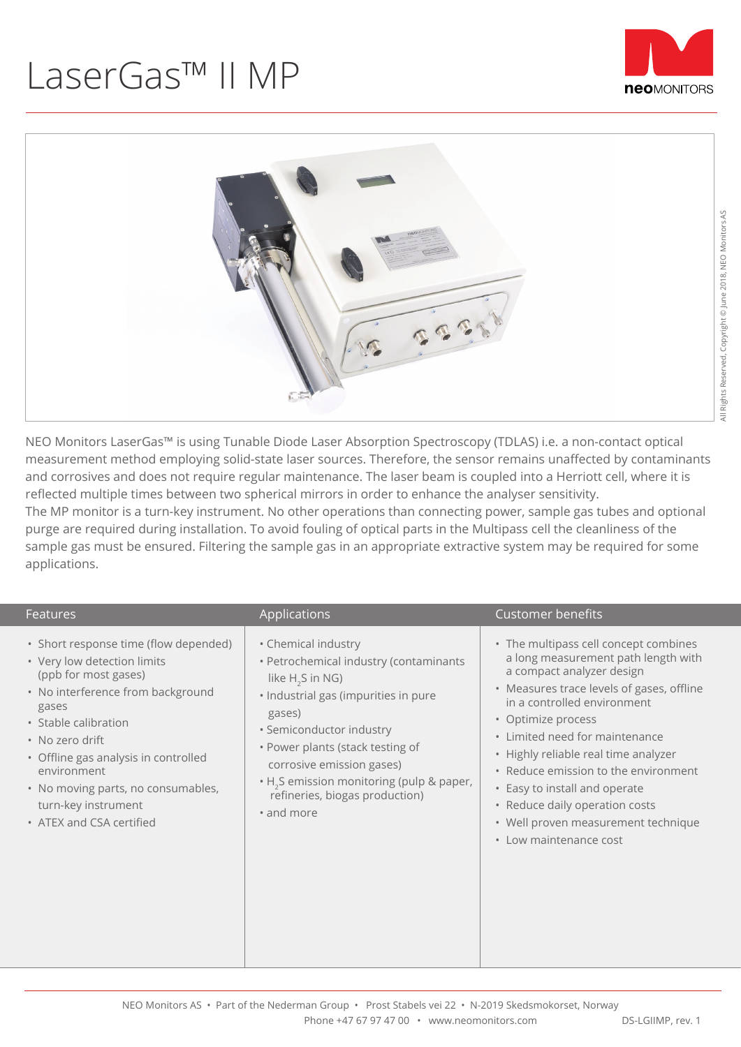## LaserGas™ II MP





NEO Monitors LaserGas™ is using Tunable Diode Laser Absorption Spectroscopy (TDLAS) i.e. a non-contact optical measurement method employing solid-state laser sources. Therefore, the sensor remains unaffected by contaminants and corrosives and does not require regular maintenance. The laser beam is coupled into a Herriott cell, where it is reflected multiple times between two spherical mirrors in order to enhance the analyser sensitivity.

The MP monitor is a turn-key instrument. No other operations than connecting power, sample gas tubes and optional purge are required during installation. To avoid fouling of optical parts in the Multipass cell the cleanliness of the sample gas must be ensured. Filtering the sample gas in an appropriate extractive system may be required for some applications.

| <b>Features</b>                                                                                                                                                                                                                                                                                                                       | <b>Applications</b>                                                                                                                                                                                                                                                                                                                                   | <b>Customer benefits</b>                                                                                                                                                                                                                                                                                                                                                                                                                                          |
|---------------------------------------------------------------------------------------------------------------------------------------------------------------------------------------------------------------------------------------------------------------------------------------------------------------------------------------|-------------------------------------------------------------------------------------------------------------------------------------------------------------------------------------------------------------------------------------------------------------------------------------------------------------------------------------------------------|-------------------------------------------------------------------------------------------------------------------------------------------------------------------------------------------------------------------------------------------------------------------------------------------------------------------------------------------------------------------------------------------------------------------------------------------------------------------|
| • Short response time (flow depended)<br>• Very low detection limits<br>(ppb for most gases)<br>• No interference from background<br>gases<br>• Stable calibration<br>• No zero drift<br>• Offline gas analysis in controlled<br>environment<br>• No moving parts, no consumables,<br>turn-key instrument<br>• ATEX and CSA certified | • Chemical industry<br>• Petrochemical industry (contaminants<br>like H <sub>2</sub> S in NG)<br>· Industrial gas (impurities in pure<br>gases)<br>• Semiconductor industry<br>• Power plants (stack testing of<br>corrosive emission gases)<br>• H <sub>2</sub> S emission monitoring (pulp & paper,<br>refineries, biogas production)<br>• and more | • The multipass cell concept combines<br>a long measurement path length with<br>a compact analyzer design<br>• Measures trace levels of gases, offline<br>in a controlled environment<br>• Optimize process<br>• Limited need for maintenance<br>• Highly reliable real time analyzer<br>• Reduce emission to the environment<br>• Easy to install and operate<br>• Reduce daily operation costs<br>• Well proven measurement technique<br>• Low maintenance cost |